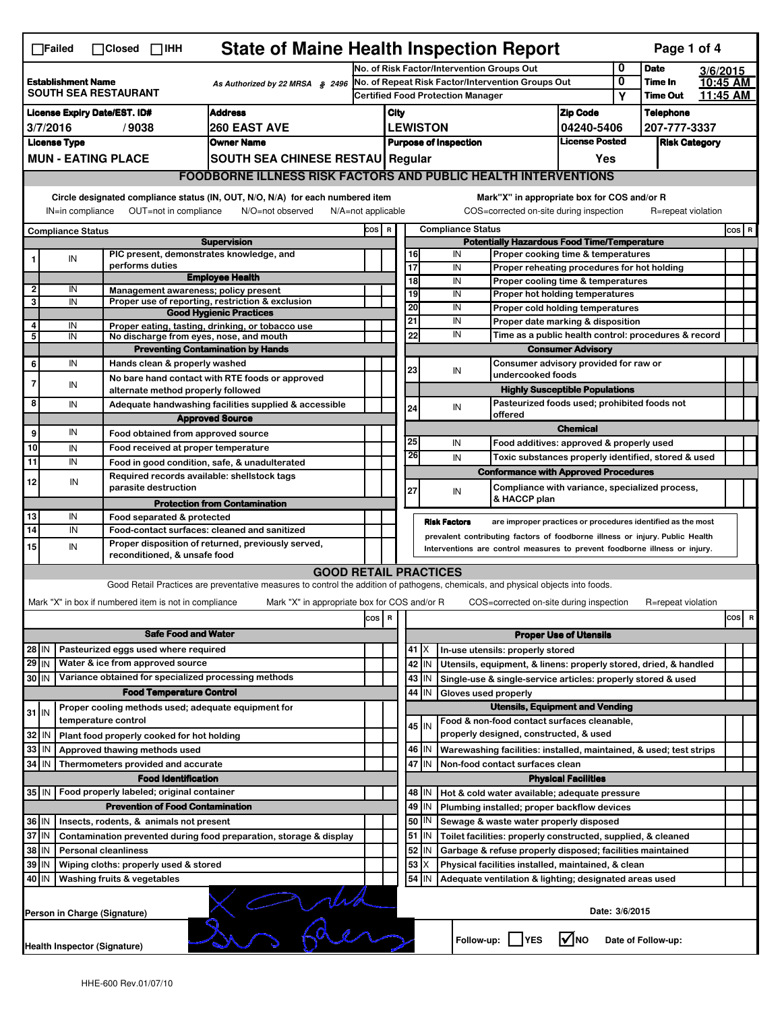| <b>State of Maine Health Inspection Report</b><br>Page 1 of 4<br>$\Box$ Failed<br>$\Box$ Closed $\Box$ IHH                    |                                                                                                                                                                                                                                             |  |                                                       |                                                                                                                                   |     |                                                                               |                                                                                                      |                                                                                                                  |                                                                                    |                                                      |              |                    |          |     |         |  |
|-------------------------------------------------------------------------------------------------------------------------------|---------------------------------------------------------------------------------------------------------------------------------------------------------------------------------------------------------------------------------------------|--|-------------------------------------------------------|-----------------------------------------------------------------------------------------------------------------------------------|-----|-------------------------------------------------------------------------------|------------------------------------------------------------------------------------------------------|------------------------------------------------------------------------------------------------------------------|------------------------------------------------------------------------------------|------------------------------------------------------|--------------|--------------------|----------|-----|---------|--|
|                                                                                                                               |                                                                                                                                                                                                                                             |  |                                                       |                                                                                                                                   |     |                                                                               | 0<br>No. of Risk Factor/Intervention Groups Out                                                      |                                                                                                                  |                                                                                    |                                                      |              |                    | 3/6/2015 |     |         |  |
|                                                                                                                               | <b>Establishment Name</b><br>As Authorized by 22 MRSA § 2496                                                                                                                                                                                |  |                                                       |                                                                                                                                   |     | No. of Repeat Risk Factor/Intervention Groups Out                             |                                                                                                      |                                                                                                                  |                                                                                    |                                                      | 0            | Time In            | 10:45 AM |     |         |  |
|                                                                                                                               | <b>SOUTH SEA RESTAURANT</b>                                                                                                                                                                                                                 |  |                                                       |                                                                                                                                   |     |                                                                               | <b>Certified Food Protection Manager</b>                                                             |                                                                                                                  |                                                                                    |                                                      | Υ            | <b>Time Out</b>    | 11:45 AM |     |         |  |
|                                                                                                                               | <b>License Expiry Date/EST. ID#</b><br><b>Address</b>                                                                                                                                                                                       |  |                                                       |                                                                                                                                   |     |                                                                               | City                                                                                                 |                                                                                                                  |                                                                                    | <b>Zip Code</b>                                      |              | Telephone          |          |     |         |  |
| <b>260 EAST AVE</b><br>3/7/2016<br>/9038                                                                                      |                                                                                                                                                                                                                                             |  |                                                       |                                                                                                                                   |     | <b>LEWISTON</b><br>04240-5406                                                 |                                                                                                      |                                                                                                                  |                                                                                    |                                                      | 207-777-3337 |                    |          |     |         |  |
|                                                                                                                               | <b>License Type</b><br><b>Owner Name</b>                                                                                                                                                                                                    |  |                                                       |                                                                                                                                   |     | <b>License Posted</b><br><b>Purpose of Inspection</b><br><b>Risk Category</b> |                                                                                                      |                                                                                                                  |                                                                                    |                                                      |              |                    |          |     |         |  |
|                                                                                                                               | <b>MUN - EATING PLACE</b>                                                                                                                                                                                                                   |  |                                                       | SOUTH SEA CHINESE RESTAU Regular                                                                                                  |     |                                                                               | Yes                                                                                                  |                                                                                                                  |                                                                                    |                                                      |              |                    |          |     |         |  |
|                                                                                                                               |                                                                                                                                                                                                                                             |  |                                                       | <b>FOODBORNE ILLNESS RISK FACTORS AND PUBLIC HEALTH INTERVENTIONS</b>                                                             |     |                                                                               |                                                                                                      |                                                                                                                  |                                                                                    |                                                      |              |                    |          |     |         |  |
| Circle designated compliance status (IN, OUT, N/O, N/A) for each numbered item<br>Mark"X" in appropriate box for COS and/or R |                                                                                                                                                                                                                                             |  |                                                       |                                                                                                                                   |     |                                                                               |                                                                                                      |                                                                                                                  |                                                                                    |                                                      |              |                    |          |     |         |  |
|                                                                                                                               | OUT=not in compliance<br>N/O=not observed<br>COS=corrected on-site during inspection<br>IN=in compliance<br>$N/A = not$ applicable<br>R=repeat violation                                                                                    |  |                                                       |                                                                                                                                   |     |                                                                               |                                                                                                      |                                                                                                                  |                                                                                    |                                                      |              |                    |          |     |         |  |
|                                                                                                                               | Compliance Status                                                                                                                                                                                                                           |  |                                                       |                                                                                                                                   |     |                                                                               | <b>Compliance Status</b><br>COS R                                                                    |                                                                                                                  |                                                                                    |                                                      |              |                    |          |     | $cos$ R |  |
|                                                                                                                               |                                                                                                                                                                                                                                             |  | PIC present, demonstrates knowledge, and              | <b>Supervision</b>                                                                                                                |     |                                                                               | <b>Potentially Hazardous Food Time/Temperature</b><br>16<br>IN<br>Proper cooking time & temperatures |                                                                                                                  |                                                                                    |                                                      |              |                    |          |     |         |  |
| 1                                                                                                                             | IN                                                                                                                                                                                                                                          |  | performs duties                                       |                                                                                                                                   |     |                                                                               | $\overline{17}$                                                                                      |                                                                                                                  | IN<br>Proper reheating procedures for hot holding                                  |                                                      |              |                    |          |     |         |  |
|                                                                                                                               |                                                                                                                                                                                                                                             |  |                                                       | <b>Employee Health</b>                                                                                                            |     |                                                                               | $\overline{18}$                                                                                      |                                                                                                                  | IN<br>Proper cooling time & temperatures                                           |                                                      |              |                    |          |     |         |  |
| 2                                                                                                                             | IN                                                                                                                                                                                                                                          |  | Management awareness; policy present                  |                                                                                                                                   |     |                                                                               | 19                                                                                                   |                                                                                                                  | IN<br>Proper hot holding temperatures                                              |                                                      |              |                    |          |     |         |  |
| 3                                                                                                                             | IN                                                                                                                                                                                                                                          |  |                                                       | Proper use of reporting, restriction & exclusion                                                                                  |     |                                                                               | 20                                                                                                   |                                                                                                                  | IN                                                                                 | Proper cold holding temperatures                     |              |                    |          |     |         |  |
| 4                                                                                                                             | IN                                                                                                                                                                                                                                          |  |                                                       | <b>Good Hygienic Practices</b><br>Proper eating, tasting, drinking, or tobacco use                                                |     |                                                                               | 21                                                                                                   |                                                                                                                  | IN                                                                                 | Proper date marking & disposition                    |              |                    |          |     |         |  |
| 5                                                                                                                             | IN                                                                                                                                                                                                                                          |  | No discharge from eyes, nose, and mouth               |                                                                                                                                   |     |                                                                               | 22                                                                                                   |                                                                                                                  | IN                                                                                 | Time as a public health control: procedures & record |              |                    |          |     |         |  |
|                                                                                                                               |                                                                                                                                                                                                                                             |  |                                                       | <b>Preventing Contamination by Hands</b>                                                                                          |     |                                                                               |                                                                                                      |                                                                                                                  |                                                                                    | <b>Consumer Advisory</b>                             |              |                    |          |     |         |  |
| 6                                                                                                                             | IN                                                                                                                                                                                                                                          |  | Hands clean & properly washed                         |                                                                                                                                   |     |                                                                               |                                                                                                      |                                                                                                                  | Consumer advisory provided for raw or                                              |                                                      |              |                    |          |     |         |  |
| 7                                                                                                                             |                                                                                                                                                                                                                                             |  |                                                       | No bare hand contact with RTE foods or approved                                                                                   |     |                                                                               | 23                                                                                                   |                                                                                                                  | IN                                                                                 | undercooked foods                                    |              |                    |          |     |         |  |
|                                                                                                                               | IN                                                                                                                                                                                                                                          |  | alternate method properly followed                    |                                                                                                                                   |     |                                                                               |                                                                                                      |                                                                                                                  |                                                                                    | <b>Highly Susceptible Populations</b>                |              |                    |          |     |         |  |
| 8                                                                                                                             | IN                                                                                                                                                                                                                                          |  |                                                       | Adequate handwashing facilities supplied & accessible                                                                             |     |                                                                               | 24                                                                                                   |                                                                                                                  | IN                                                                                 | Pasteurized foods used; prohibited foods not         |              |                    |          |     |         |  |
|                                                                                                                               |                                                                                                                                                                                                                                             |  |                                                       | <b>Approved Source</b>                                                                                                            |     |                                                                               |                                                                                                      |                                                                                                                  | offered                                                                            |                                                      |              |                    |          |     |         |  |
| 9                                                                                                                             | IN                                                                                                                                                                                                                                          |  | Food obtained from approved source                    |                                                                                                                                   |     |                                                                               |                                                                                                      |                                                                                                                  |                                                                                    | <b>Chemical</b>                                      |              |                    |          |     |         |  |
| 10                                                                                                                            | IN                                                                                                                                                                                                                                          |  | Food received at proper temperature                   |                                                                                                                                   |     |                                                                               | 25                                                                                                   |                                                                                                                  | IN<br>Food additives: approved & properly used                                     |                                                      |              |                    |          |     |         |  |
| 11                                                                                                                            | IN                                                                                                                                                                                                                                          |  |                                                       | Food in good condition, safe, & unadulterated                                                                                     |     |                                                                               | 26                                                                                                   |                                                                                                                  | IN<br>Toxic substances properly identified, stored & used                          |                                                      |              |                    |          |     |         |  |
|                                                                                                                               |                                                                                                                                                                                                                                             |  | Required records available: shellstock tags           |                                                                                                                                   |     |                                                                               |                                                                                                      |                                                                                                                  | <b>Conformance with Approved Procedures</b>                                        |                                                      |              |                    |          |     |         |  |
| 12                                                                                                                            | IN                                                                                                                                                                                                                                          |  | parasite destruction                                  |                                                                                                                                   |     |                                                                               | 27                                                                                                   |                                                                                                                  | Compliance with variance, specialized process,<br>IN                               |                                                      |              |                    |          |     |         |  |
|                                                                                                                               |                                                                                                                                                                                                                                             |  |                                                       | <b>Protection from Contamination</b>                                                                                              |     |                                                                               |                                                                                                      |                                                                                                                  | & HACCP plan                                                                       |                                                      |              |                    |          |     |         |  |
| 13                                                                                                                            | IN                                                                                                                                                                                                                                          |  | Food separated & protected                            |                                                                                                                                   |     |                                                                               |                                                                                                      |                                                                                                                  | <b>Risk Factors</b><br>are improper practices or procedures identified as the most |                                                      |              |                    |          |     |         |  |
| 14                                                                                                                            | IN                                                                                                                                                                                                                                          |  |                                                       | Food-contact surfaces: cleaned and sanitized                                                                                      |     |                                                                               |                                                                                                      |                                                                                                                  | prevalent contributing factors of foodborne illness or injury. Public Health       |                                                      |              |                    |          |     |         |  |
| 15                                                                                                                            | IN                                                                                                                                                                                                                                          |  |                                                       | Proper disposition of returned, previously served,                                                                                |     |                                                                               |                                                                                                      |                                                                                                                  | Interventions are control measures to prevent foodborne illness or injury.         |                                                      |              |                    |          |     |         |  |
|                                                                                                                               |                                                                                                                                                                                                                                             |  | reconditioned, & unsafe food                          |                                                                                                                                   |     |                                                                               |                                                                                                      |                                                                                                                  |                                                                                    |                                                      |              |                    |          |     |         |  |
|                                                                                                                               |                                                                                                                                                                                                                                             |  |                                                       | <b>GOOD RETAIL PRACTICES</b>                                                                                                      |     |                                                                               |                                                                                                      |                                                                                                                  |                                                                                    |                                                      |              |                    |          |     |         |  |
|                                                                                                                               |                                                                                                                                                                                                                                             |  |                                                       | Good Retail Practices are preventative measures to control the addition of pathogens, chemicals, and physical objects into foods. |     |                                                                               |                                                                                                      |                                                                                                                  |                                                                                    |                                                      |              |                    |          |     |         |  |
|                                                                                                                               |                                                                                                                                                                                                                                             |  | Mark "X" in box if numbered item is not in compliance | Mark "X" in appropriate box for COS and/or R                                                                                      |     |                                                                               |                                                                                                      |                                                                                                                  | COS=corrected on-site during inspection                                            |                                                      |              | R=repeat violation |          |     |         |  |
|                                                                                                                               |                                                                                                                                                                                                                                             |  |                                                       |                                                                                                                                   | cos | R                                                                             |                                                                                                      |                                                                                                                  |                                                                                    |                                                      |              |                    |          | cos | R       |  |
|                                                                                                                               |                                                                                                                                                                                                                                             |  | <b>Safe Food and Water</b>                            |                                                                                                                                   |     |                                                                               |                                                                                                      |                                                                                                                  |                                                                                    | <b>Proper Use of Utensils</b>                        |              |                    |          |     |         |  |
| 28 IN                                                                                                                         |                                                                                                                                                                                                                                             |  | Pasteurized eggs used where required                  |                                                                                                                                   |     |                                                                               |                                                                                                      | $41$ $\times$                                                                                                    | In-use utensils: properly stored                                                   |                                                      |              |                    |          |     |         |  |
| 29 IN                                                                                                                         |                                                                                                                                                                                                                                             |  | Water & ice from approved source                      |                                                                                                                                   |     |                                                                               |                                                                                                      | 42 IN                                                                                                            | Utensils, equipment, & linens: properly stored, dried, & handled                   |                                                      |              |                    |          |     |         |  |
| 30 IN                                                                                                                         |                                                                                                                                                                                                                                             |  | Variance obtained for specialized processing methods  |                                                                                                                                   |     |                                                                               |                                                                                                      | 43   IN                                                                                                          | Single-use & single-service articles: properly stored & used                       |                                                      |              |                    |          |     |         |  |
|                                                                                                                               |                                                                                                                                                                                                                                             |  | <b>Food Temperature Control</b>                       |                                                                                                                                   |     |                                                                               |                                                                                                      | 44 I IN                                                                                                          | Gloves used properly                                                               |                                                      |              |                    |          |     |         |  |
|                                                                                                                               |                                                                                                                                                                                                                                             |  | Proper cooling methods used; adequate equipment for   |                                                                                                                                   |     |                                                                               |                                                                                                      |                                                                                                                  | <b>Utensils, Equipment and Vending</b>                                             |                                                      |              |                    |          |     |         |  |
| $31$ IN                                                                                                                       |                                                                                                                                                                                                                                             |  | temperature control                                   |                                                                                                                                   |     |                                                                               |                                                                                                      |                                                                                                                  | Food & non-food contact surfaces cleanable,                                        |                                                      |              |                    |          |     |         |  |
| 32 IN                                                                                                                         |                                                                                                                                                                                                                                             |  | Plant food properly cooked for hot holding            |                                                                                                                                   |     |                                                                               |                                                                                                      | 45 IN                                                                                                            | properly designed, constructed, & used                                             |                                                      |              |                    |          |     |         |  |
| 33 IN                                                                                                                         |                                                                                                                                                                                                                                             |  | Approved thawing methods used                         |                                                                                                                                   |     |                                                                               |                                                                                                      | 46   IN                                                                                                          |                                                                                    |                                                      |              |                    |          |     |         |  |
| 34   IN                                                                                                                       |                                                                                                                                                                                                                                             |  | Thermometers provided and accurate                    |                                                                                                                                   |     |                                                                               |                                                                                                      | Warewashing facilities: installed, maintained, & used; test strips<br>47 I IN<br>Non-food contact surfaces clean |                                                                                    |                                                      |              |                    |          |     |         |  |
|                                                                                                                               |                                                                                                                                                                                                                                             |  | <b>Food Identification</b>                            |                                                                                                                                   |     |                                                                               |                                                                                                      |                                                                                                                  |                                                                                    | <b>Physical Facilities</b>                           |              |                    |          |     |         |  |
| 35 IN                                                                                                                         |                                                                                                                                                                                                                                             |  | Food properly labeled; original container             |                                                                                                                                   |     |                                                                               |                                                                                                      | 48   IN                                                                                                          | Hot & cold water available; adequate pressure                                      |                                                      |              |                    |          |     |         |  |
|                                                                                                                               |                                                                                                                                                                                                                                             |  |                                                       |                                                                                                                                   |     |                                                                               |                                                                                                      |                                                                                                                  |                                                                                    |                                                      |              |                    |          |     |         |  |
|                                                                                                                               | <b>Prevention of Food Contamination</b><br>49 IN<br>Plumbing installed; proper backflow devices<br>50   IN<br>36 IN                                                                                                                         |  |                                                       |                                                                                                                                   |     |                                                                               |                                                                                                      |                                                                                                                  |                                                                                    |                                                      |              |                    |          |     |         |  |
|                                                                                                                               | Insects, rodents, & animals not present<br>Sewage & waste water properly disposed<br>37 IN<br>51   IN<br>Contamination prevented during food preparation, storage & display<br>Toilet facilities: properly constructed, supplied, & cleaned |  |                                                       |                                                                                                                                   |     |                                                                               |                                                                                                      |                                                                                                                  |                                                                                    |                                                      |              |                    |          |     |         |  |
|                                                                                                                               | 38 IN<br>52 <br><b>Personal cleanliness</b><br>Garbage & refuse properly disposed; facilities maintained<br>ΙN                                                                                                                              |  |                                                       |                                                                                                                                   |     |                                                                               |                                                                                                      |                                                                                                                  |                                                                                    |                                                      |              |                    |          |     |         |  |
|                                                                                                                               | 53<br>39 IN<br>Wiping cloths: properly used & stored<br>Х<br>Physical facilities installed, maintained, & clean                                                                                                                             |  |                                                       |                                                                                                                                   |     |                                                                               |                                                                                                      |                                                                                                                  |                                                                                    |                                                      |              |                    |          |     |         |  |
| 54 IN<br>40 IN<br>Washing fruits & vegetables<br>Adequate ventilation & lighting; designated areas used                       |                                                                                                                                                                                                                                             |  |                                                       |                                                                                                                                   |     |                                                                               |                                                                                                      |                                                                                                                  |                                                                                    |                                                      |              |                    |          |     |         |  |
|                                                                                                                               |                                                                                                                                                                                                                                             |  |                                                       |                                                                                                                                   |     |                                                                               |                                                                                                      |                                                                                                                  |                                                                                    |                                                      |              |                    |          |     |         |  |
|                                                                                                                               | Date: 3/6/2015<br>Person in Charge (Signature)                                                                                                                                                                                              |  |                                                       |                                                                                                                                   |     |                                                                               |                                                                                                      |                                                                                                                  |                                                                                    |                                                      |              |                    |          |     |         |  |
|                                                                                                                               | l√lno<br>Follow-up:  <br><b>IYES</b><br>Date of Follow-up:<br>Health Inspector (Signature)                                                                                                                                                  |  |                                                       |                                                                                                                                   |     |                                                                               |                                                                                                      |                                                                                                                  |                                                                                    |                                                      |              |                    |          |     |         |  |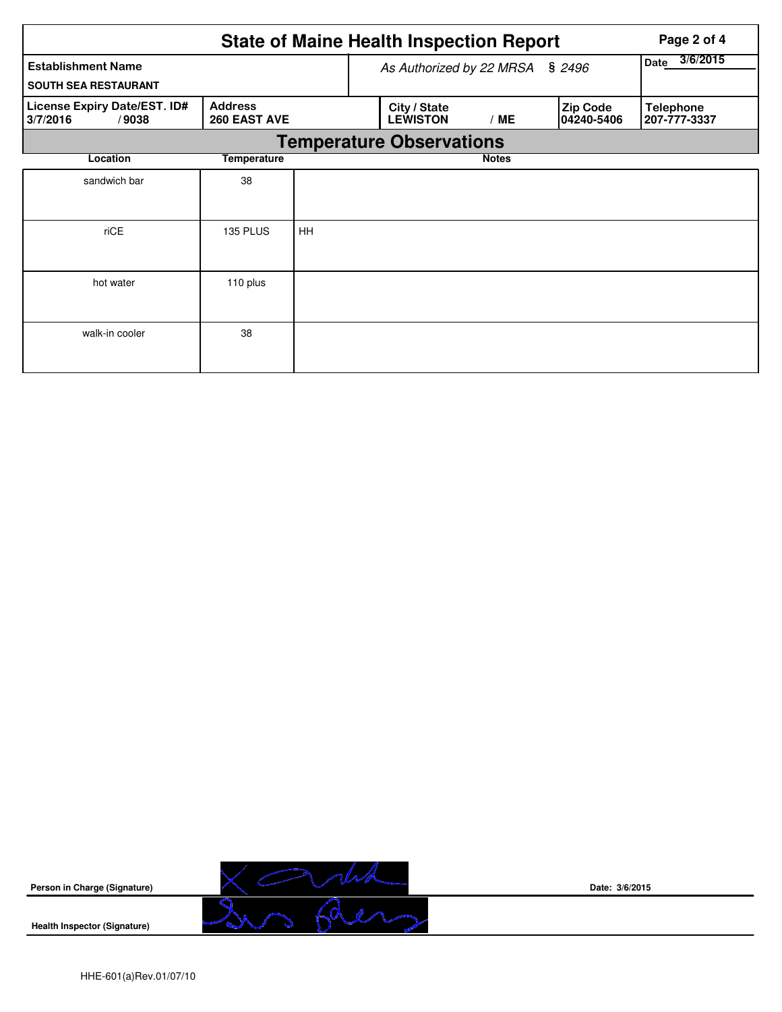| <b>State of Maine Health Inspection Report</b><br>Page 2 of 4                       |                 |                                 |                  |                                 |              |  |                               |                                  |  |  |  |
|-------------------------------------------------------------------------------------|-----------------|---------------------------------|------------------|---------------------------------|--------------|--|-------------------------------|----------------------------------|--|--|--|
| <b>Establishment Name</b>                                                           |                 | As Authorized by 22 MRSA § 2496 | 3/6/2015<br>Date |                                 |              |  |                               |                                  |  |  |  |
| <b>SOUTH SEA RESTAURANT</b>                                                         |                 |                                 |                  |                                 |              |  |                               |                                  |  |  |  |
| <b>Address</b><br>License Expiry Date/EST. ID#<br>260 EAST AVE<br>3/7/2016<br>/9038 |                 |                                 |                  | City / State<br><b>LEWISTON</b> | /ME          |  | <b>Zip Code</b><br>04240-5406 | <b>Telephone</b><br>207-777-3337 |  |  |  |
|                                                                                     |                 |                                 |                  | <b>Temperature Observations</b> |              |  |                               |                                  |  |  |  |
| Location                                                                            | Temperature     |                                 |                  |                                 | <b>Notes</b> |  |                               |                                  |  |  |  |
| sandwich bar                                                                        | 38              |                                 |                  |                                 |              |  |                               |                                  |  |  |  |
|                                                                                     |                 |                                 |                  |                                 |              |  |                               |                                  |  |  |  |
| riCE                                                                                | <b>135 PLUS</b> | HH                              |                  |                                 |              |  |                               |                                  |  |  |  |
|                                                                                     |                 |                                 |                  |                                 |              |  |                               |                                  |  |  |  |
| hot water                                                                           | 110 plus        |                                 |                  |                                 |              |  |                               |                                  |  |  |  |
|                                                                                     |                 |                                 |                  |                                 |              |  |                               |                                  |  |  |  |
| walk-in cooler                                                                      | 38              |                                 |                  |                                 |              |  |                               |                                  |  |  |  |
|                                                                                     |                 |                                 |                  |                                 |              |  |                               |                                  |  |  |  |



**Date: 3/6/2015**

**Health Inspector (Signature)**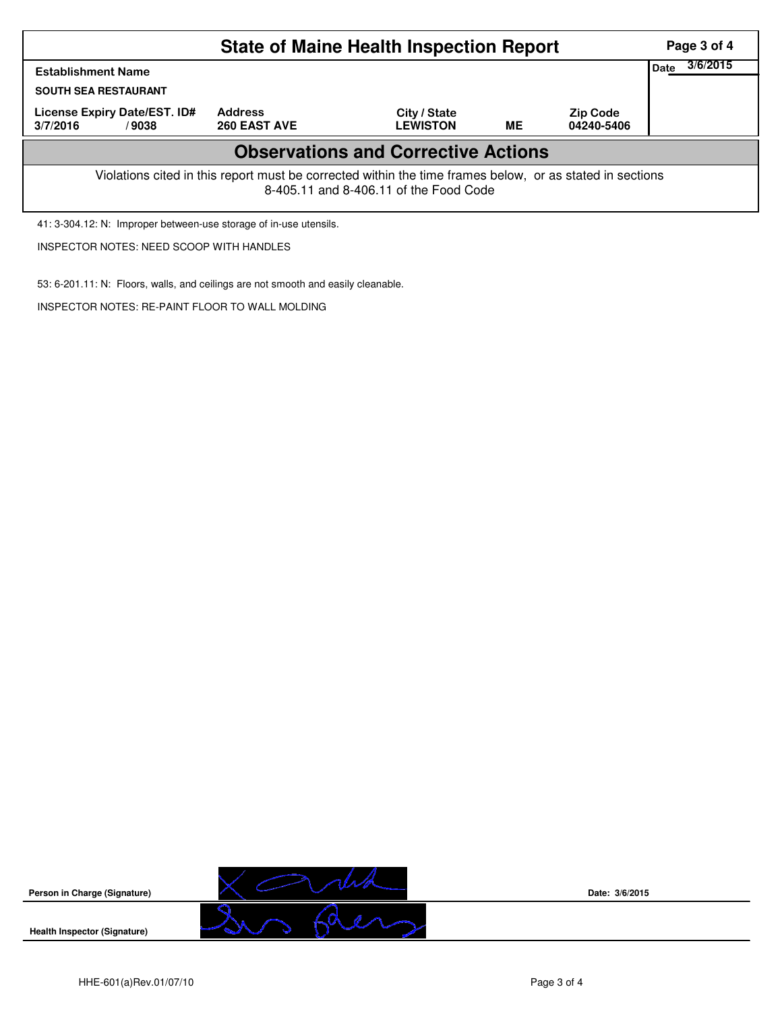| <b>State of Maine Health Inspection Report</b><br>Page 3 of 4                                                                                      |                                |                                 |    |                               |  |  |  |  |  |
|----------------------------------------------------------------------------------------------------------------------------------------------------|--------------------------------|---------------------------------|----|-------------------------------|--|--|--|--|--|
| 3/6/2015<br><b>Date</b><br><b>Establishment Name</b>                                                                                               |                                |                                 |    |                               |  |  |  |  |  |
| <b>SOUTH SEA RESTAURANT</b>                                                                                                                        |                                |                                 |    |                               |  |  |  |  |  |
| License Expiry Date/EST. ID#<br>3/7/2016<br>/9038                                                                                                  | <b>Address</b><br>260 EAST AVE | City / State<br><b>LEWISTON</b> | ME | <b>Zip Code</b><br>04240-5406 |  |  |  |  |  |
| <b>Observations and Corrective Actions</b>                                                                                                         |                                |                                 |    |                               |  |  |  |  |  |
| Violations cited in this report must be corrected within the time frames below, or as stated in sections<br>8-405.11 and 8-406.11 of the Food Code |                                |                                 |    |                               |  |  |  |  |  |

41: 3-304.12: N: Improper between-use storage of in-use utensils.

INSPECTOR NOTES: NEED SCOOP WITH HANDLES

53: 6-201.11: N: Floors, walls, and ceilings are not smooth and easily cleanable.

INSPECTOR NOTES: RE-PAINT FLOOR TO WALL MOLDING



**Date: 3/6/2015**

**Health Inspector (Signature)** 

**Person in Charge (Signature)**